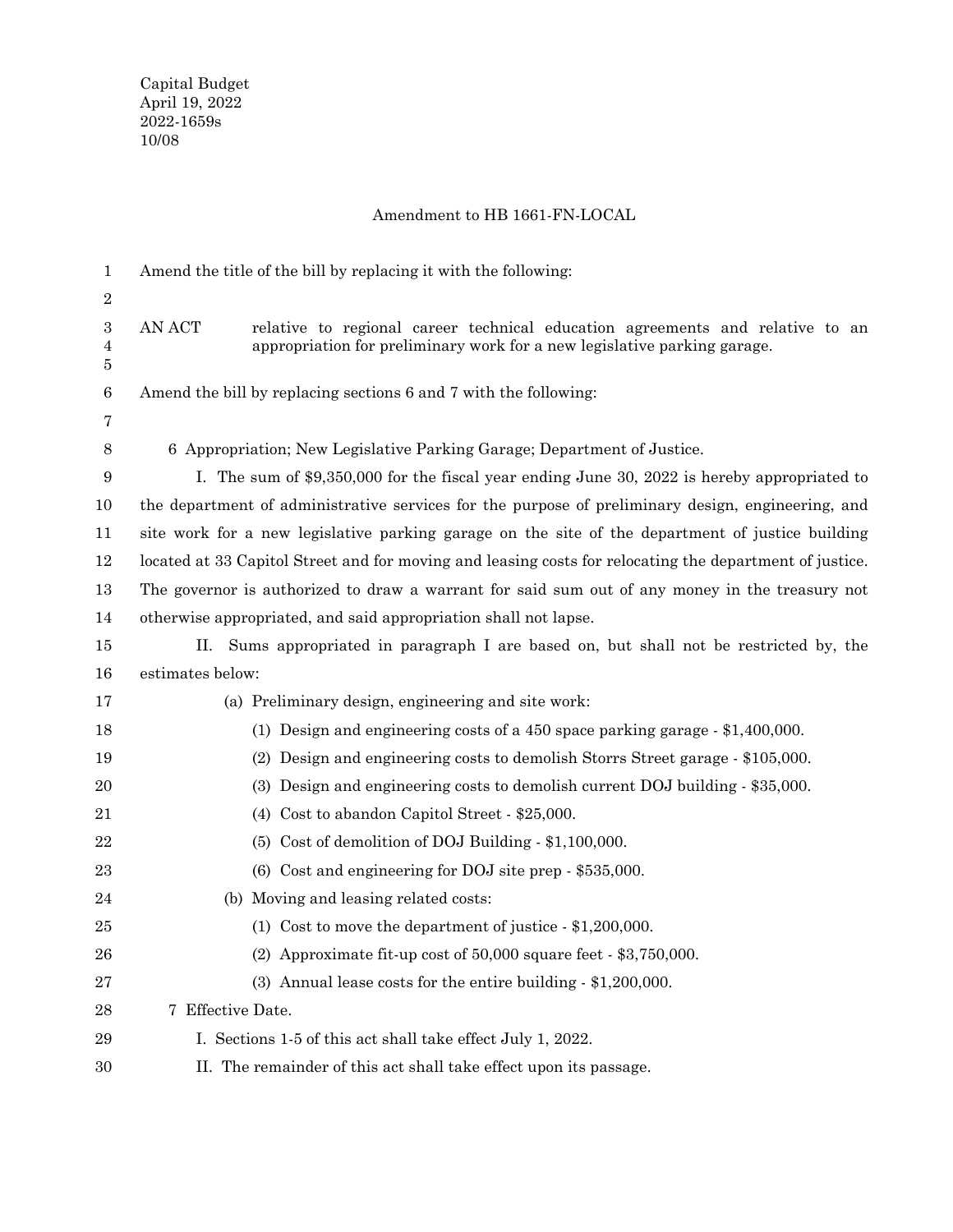## Amendment to HB 1661-FN-LOCAL

| $\mathbf 1$                | Amend the title of the bill by replacing it with the following:                                                                                                     |
|----------------------------|---------------------------------------------------------------------------------------------------------------------------------------------------------------------|
| $\boldsymbol{2}$           |                                                                                                                                                                     |
| $\boldsymbol{3}$<br>4<br>5 | AN ACT<br>relative to regional career technical education agreements and relative to an<br>appropriation for preliminary work for a new legislative parking garage. |
| $\,6$                      | Amend the bill by replacing sections 6 and 7 with the following:                                                                                                    |
| 7                          |                                                                                                                                                                     |
| $8\phantom{1}$             | 6 Appropriation; New Legislative Parking Garage; Department of Justice.                                                                                             |
| 9                          | I. The sum of \$9,350,000 for the fiscal year ending June 30, 2022 is hereby appropriated to                                                                        |
| 10                         | the department of administrative services for the purpose of preliminary design, engineering, and                                                                   |
| 11                         | site work for a new legislative parking garage on the site of the department of justice building                                                                    |
| 12                         | located at 33 Capitol Street and for moving and leasing costs for relocating the department of justice.                                                             |
| 13                         | The governor is authorized to draw a warrant for said sum out of any money in the treasury not                                                                      |
| 14                         | otherwise appropriated, and said appropriation shall not lapse.                                                                                                     |
| 15                         | Sums appropriated in paragraph I are based on, but shall not be restricted by, the<br>II.                                                                           |
| 16                         | estimates below:                                                                                                                                                    |
| 17                         | (a) Preliminary design, engineering and site work:                                                                                                                  |
| 18                         | (1) Design and engineering costs of a $450$ space parking garage $-$ \$1,400,000.                                                                                   |
| 19                         | (2) Design and engineering costs to demolish Storrs Street garage - \$105,000.                                                                                      |
| 20                         | (3) Design and engineering costs to demolish current DOJ building - \$35,000.                                                                                       |
| 21                         | (4) Cost to abandon Capitol Street - \$25,000.                                                                                                                      |
| 22                         | (5) Cost of demolition of DOJ Building - \$1,100,000.                                                                                                               |
| 23                         | (6) Cost and engineering for DOJ site prep - \$535,000.                                                                                                             |
| $\bf{24}$                  | (b) Moving and leasing related costs:                                                                                                                               |
| 25                         | (1) Cost to move the department of justice $-$ \$1,200,000.                                                                                                         |
| ${\bf 26}$                 | (2) Approximate fit-up cost of $50,000$ square feet $-$ \$3,750,000.                                                                                                |
| 27                         | (3) Annual lease costs for the entire building $-$ \$1,200,000.                                                                                                     |
| 28                         | 7 Effective Date.                                                                                                                                                   |
| 29                         | I. Sections 1-5 of this act shall take effect July 1, 2022.                                                                                                         |
| $30\,$                     | II. The remainder of this act shall take effect upon its passage.                                                                                                   |